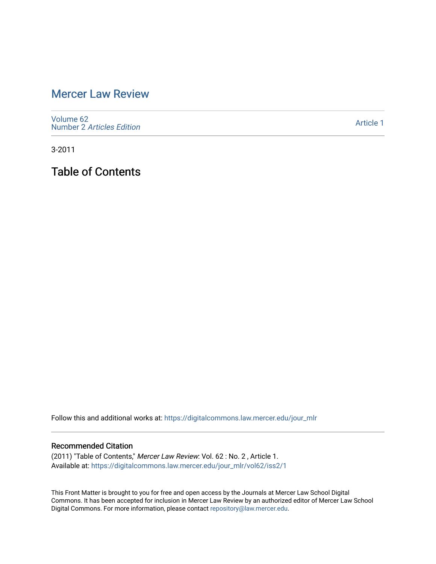# [Mercer Law Review](https://digitalcommons.law.mercer.edu/jour_mlr)

[Volume 62](https://digitalcommons.law.mercer.edu/jour_mlr/vol62) Number 2 [Articles Edition](https://digitalcommons.law.mercer.edu/jour_mlr/vol62/iss2) 

[Article 1](https://digitalcommons.law.mercer.edu/jour_mlr/vol62/iss2/1) 

3-2011

Table of Contents

Follow this and additional works at: [https://digitalcommons.law.mercer.edu/jour\\_mlr](https://digitalcommons.law.mercer.edu/jour_mlr?utm_source=digitalcommons.law.mercer.edu%2Fjour_mlr%2Fvol62%2Fiss2%2F1&utm_medium=PDF&utm_campaign=PDFCoverPages)

#### Recommended Citation

(2011) "Table of Contents," Mercer Law Review: Vol. 62 : No. 2 , Article 1. Available at: [https://digitalcommons.law.mercer.edu/jour\\_mlr/vol62/iss2/1](https://digitalcommons.law.mercer.edu/jour_mlr/vol62/iss2/1?utm_source=digitalcommons.law.mercer.edu%2Fjour_mlr%2Fvol62%2Fiss2%2F1&utm_medium=PDF&utm_campaign=PDFCoverPages)

This Front Matter is brought to you for free and open access by the Journals at Mercer Law School Digital Commons. It has been accepted for inclusion in Mercer Law Review by an authorized editor of Mercer Law School Digital Commons. For more information, please contact [repository@law.mercer.edu](mailto:repository@law.mercer.edu).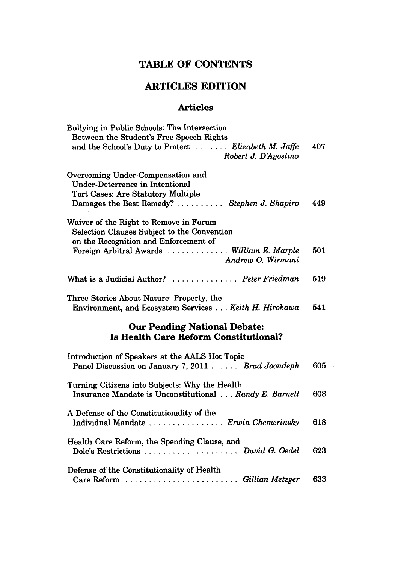## **TABLE OF CONTENTS**

### **ARTICLES EDITION**

#### **Articles**

| Bullying in Public Schools: The Intersection                                                                                                                      |     |
|-------------------------------------------------------------------------------------------------------------------------------------------------------------------|-----|
| Between the Student's Free Speech Rights<br>and the School's Duty to Protect  Elizabeth M. Jaffe<br>Robert J. D'Agostino                                          | 407 |
| Overcoming Under-Compensation and<br>Under-Deterrence in Intentional<br><b>Tort Cases: Are Statutory Multiple</b><br>Damages the Best Remedy?  Stephen J. Shapiro | 449 |
| Waiver of the Right to Remove in Forum<br>Selection Clauses Subject to the Convention<br>on the Recognition and Enforcement of                                    |     |
| Foreign Arbitral Awards  William E. Marple<br>Andrew O. Wirmani                                                                                                   | 501 |
| What is a Judicial Author?  Peter Friedman                                                                                                                        | 519 |
| Three Stories About Nature: Property, the<br>Environment, and Ecosystem Services Keith H. Hirokawa                                                                | 541 |
| <b>Our Pending National Debate:</b><br><b>Is Health Care Reform Constitutional?</b>                                                                               |     |
| Introduction of Speakers at the AALS Hot Topic<br>Panel Discussion on January 7, 2011 Brad Joondeph                                                               | 605 |
| Turning Citizens into Subjects: Why the Health<br>Insurance Mandate is Unconstitutional Randy E. Barnett                                                          | 608 |
| A Defense of the Constitutionality of the<br>Individual Mandate  Erwin Chemerinsky                                                                                | 618 |
| Health Care Reform, the Spending Clause, and<br>Dole's Restrictions  David G. Oedel                                                                               | 623 |

 $\overline{\phantom{a}}$ 

| Defense of the Constitutionality of Health |     |
|--------------------------------------------|-----|
| Care Reform  Gillian Metzger               | 633 |